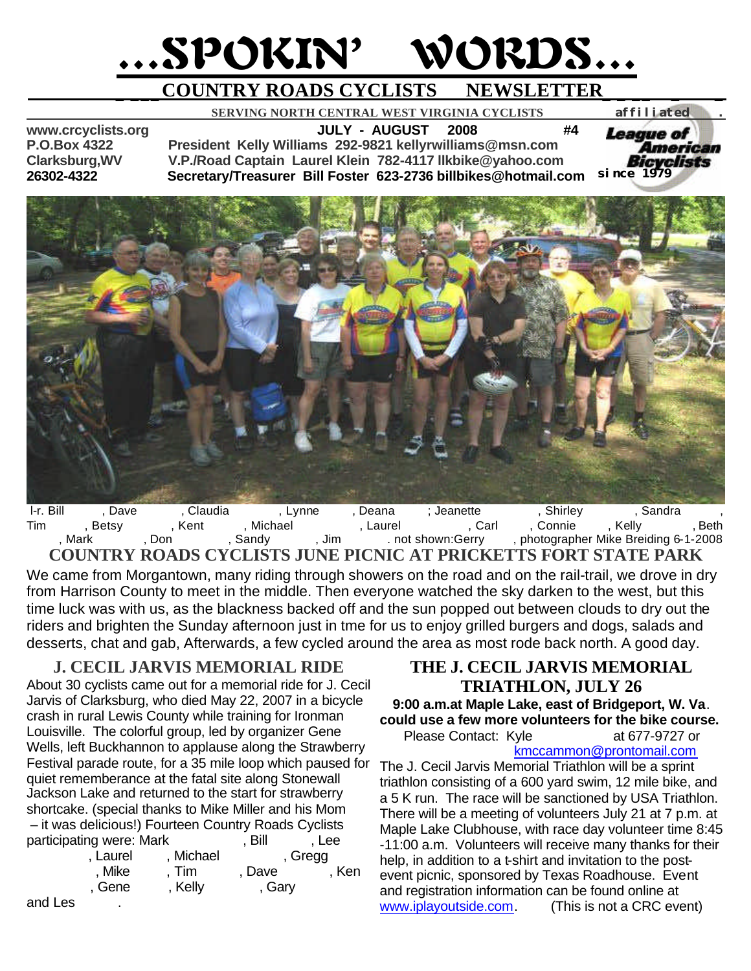# …SPOKIN' WORDS…

# **\_ \_\_\_COUNTRY ROADS CYCLISTS NEWSLETTER\_ \_ \_\_ \_ \_**

 **SERVING NORTH CENTRAL WEST VIRGINIA CYCLISTS** *affiliated .* 

**www.crcyclists.org JULY - AUGUST 2008 #4 P.O.Box 4322 President Kelly Williams 292-9821 kellyrwilliams@msn.com Clarksburg,WV V.P./Road Captain Laurel Klein 782-4117 llkbike@yahoo.com 26302-4322 Secretary/Treasurer Bill Foster 623-2736 billbikes@hotmail.com** 



l-r. Bill Giave Billips, Dave Giaudia Giannini, Lynne Ryana Icalephian Icalephical Campbell, Sandra Nelms, Sandra Tim Betsy Bent Parker, Laurel Ical (Carl Ervinie Hicalpi (Rear), Beth (Frontie Ervin, Beth in Michael Williams, Carl Ervin, Kelly Beth , Mark Crabtree, Don Gandy Mears, Jim Meart, Don Meart, Sandy Meart, Jim Meart, photographer Mike Breiding 6-1-2008 **COUNTRY ROADS CYCLISTS JUNE PICNIC AT PRICKETTS FORT STATE PARK**

We came from Morgantown, many riding through showers on the road and on the rail-trail, we drove in dry from Harrison County to meet in the middle. Then everyone watched the sky darken to the west, but this time luck was with us, as the blackness backed off and the sun popped out between clouds to dry out the riders and brighten the Sunday afternoon just in tme for us to enjoy grilled burgers and dogs, salads and desserts, chat and gab, Afterwards, a few cycled around the area as most rode back north. A good day.

#### **J. CECIL JARVIS MEMORIAL RIDE**

About 30 cyclists came out for a memorial ride for J. Cecil Jarvis of Clarksburg, who died May 22, 2007 in a bicycle crash in rural Lewis County while training for Ironman Louisville. The colorful group, led by organizer Gene Wells, left Buckhannon to applause along the Strawberry Festival parade route, for a 35 mile loop which paused for quiet rememberance at the fatal site along Stonewall Jackson Lake and returned to the start for strawberry shortcake. (special thanks to Mike Miller and his Mom – it was delicious!) Fourteen Country Roads Cyclists participating were: Mark Foster, Bill Foster, Lee Eurel Alichael Alexander Regg

| , Mike | Tim     | , Dave | , Ken |
|--------|---------|--------|-------|
| , Gene | , Kelly | , Gary |       |

#### and Les

#### **THE J. CECIL JARVIS MEMORIAL TRIATHLON, JULY 26**

*since 1979*

*League of* 

American Bicvelists

#### **9:00 a.m.at Maple Lake, east of Bridgeport, W. Va**. **could use a few more volunteers for the bike course.**

Please Contact: Kyle Mat 677-9727 or kmccammon@prontomail.com

The J. Cecil Jarvis Memorial Triathlon will be a sprint triathlon consisting of a 600 yard swim, 12 mile bike, and a 5 K run. The race will be sanctioned by USA Triathlon. There will be a meeting of volunteers July 21 at 7 p.m. at Maple Lake Clubhouse, with race day volunteer time 8:45 -11:00 a.m. Volunteers will receive many thanks for their help, in addition to a t-shirt and invitation to the postevent picnic, sponsored by Texas Roadhouse. Event and registration information can be found online at www.iplayoutside.com. (This is not a CRC event)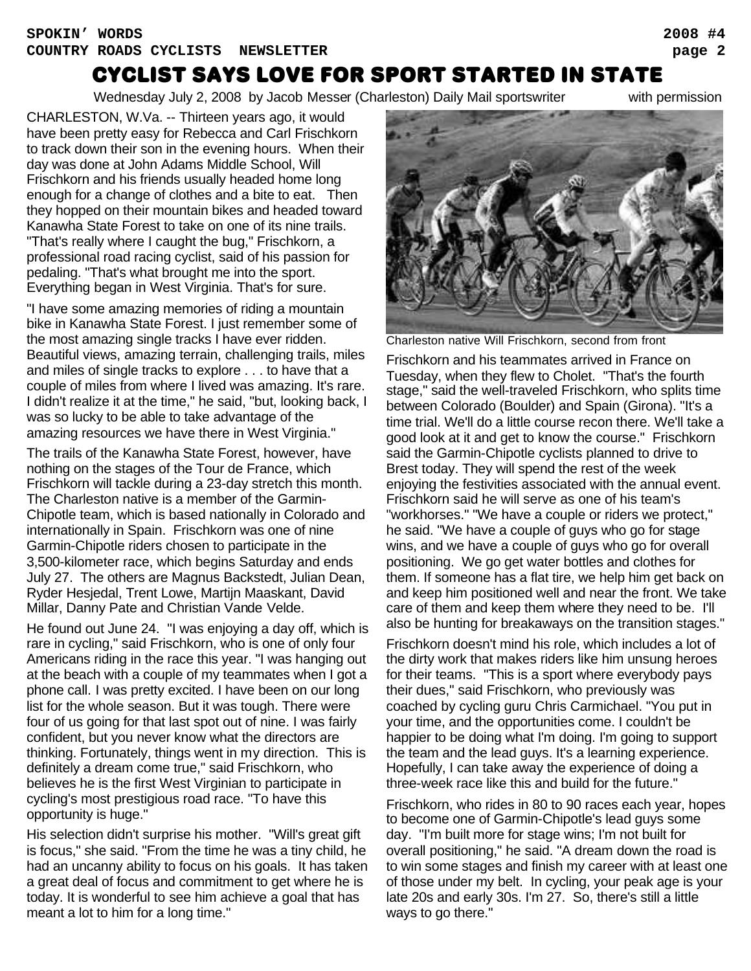## Cyclist says love for sport started in state

Wednesday July 2, 2008 by Jacob Messer (Charleston) Daily Mail sportswriter with permission

CHARLESTON, W.Va. -- Thirteen years ago, it would have been pretty easy for Rebecca and Carl Frischkorn to track down their son in the evening hours. When their day was done at John Adams Middle School, Will Frischkorn and his friends usually headed home long enough for a change of clothes and a bite to eat. Then they hopped on their mountain bikes and headed toward Kanawha State Forest to take on one of its nine trails. "That's really where I caught the bug," Frischkorn, a professional road racing cyclist, said of his passion for pedaling. "That's what brought me into the sport. Everything began in West Virginia. That's for sure.

"I have some amazing memories of riding a mountain bike in Kanawha State Forest. I just remember some of the most amazing single tracks I have ever ridden. Beautiful views, amazing terrain, challenging trails, miles and miles of single tracks to explore . . . to have that a couple of miles from where I lived was amazing. It's rare. I didn't realize it at the time," he said, "but, looking back, I was so lucky to be able to take advantage of the amazing resources we have there in West Virginia."

The trails of the Kanawha State Forest, however, have nothing on the stages of the Tour de France, which Frischkorn will tackle during a 23-day stretch this month. The Charleston native is a member of the Garmin-Chipotle team, which is based nationally in Colorado and internationally in Spain. Frischkorn was one of nine Garmin-Chipotle riders chosen to participate in the 3,500-kilometer race, which begins Saturday and ends July 27. The others are Magnus Backstedt, Julian Dean, Ryder Hesjedal, Trent Lowe, Martijn Maaskant, David Millar, Danny Pate and Christian Vande Velde.

He found out June 24. "I was enjoying a day off, which is rare in cycling," said Frischkorn, who is one of only four Americans riding in the race this year. "I was hanging out at the beach with a couple of my teammates when I got a phone call. I was pretty excited. I have been on our long list for the whole season. But it was tough. There were four of us going for that last spot out of nine. I was fairly confident, but you never know what the directors are thinking. Fortunately, things went in my direction. This is definitely a dream come true," said Frischkorn, who believes he is the first West Virginian to participate in cycling's most prestigious road race. "To have this opportunity is huge."

His selection didn't surprise his mother. "Will's great gift is focus," she said. "From the time he was a tiny child, he had an uncanny ability to focus on his goals. It has taken a great deal of focus and commitment to get where he is today. It is wonderful to see him achieve a goal that has meant a lot to him for a long time."



Charleston native Will Frischkorn, second from front

Frischkorn and his teammates arrived in France on Tuesday, when they flew to Cholet. "That's the fourth stage," said the well-traveled Frischkorn, who splits time between Colorado (Boulder) and Spain (Girona). "It's a time trial. We'll do a little course recon there. We'll take a good look at it and get to know the course." Frischkorn said the Garmin-Chipotle cyclists planned to drive to Brest today. They will spend the rest of the week enjoying the festivities associated with the annual event. Frischkorn said he will serve as one of his team's "workhorses." "We have a couple or riders we protect," he said. "We have a couple of guys who go for stage wins, and we have a couple of guys who go for overall positioning. We go get water bottles and clothes for them. If someone has a flat tire, we help him get back on and keep him positioned well and near the front. We take care of them and keep them where they need to be. I'll also be hunting for breakaways on the transition stages."

Frischkorn doesn't mind his role, which includes a lot of the dirty work that makes riders like him unsung heroes for their teams. "This is a sport where everybody pays their dues," said Frischkorn, who previously was coached by cycling guru Chris Carmichael. "You put in your time, and the opportunities come. I couldn't be happier to be doing what I'm doing. I'm going to support the team and the lead guys. It's a learning experience. Hopefully, I can take away the experience of doing a three-week race like this and build for the future."

Frischkorn, who rides in 80 to 90 races each year, hopes to become one of Garmin-Chipotle's lead guys some day. "I'm built more for stage wins; I'm not built for overall positioning," he said. "A dream down the road is to win some stages and finish my career with at least one of those under my belt. In cycling, your peak age is your late 20s and early 30s. I'm 27. So, there's still a little ways to go there."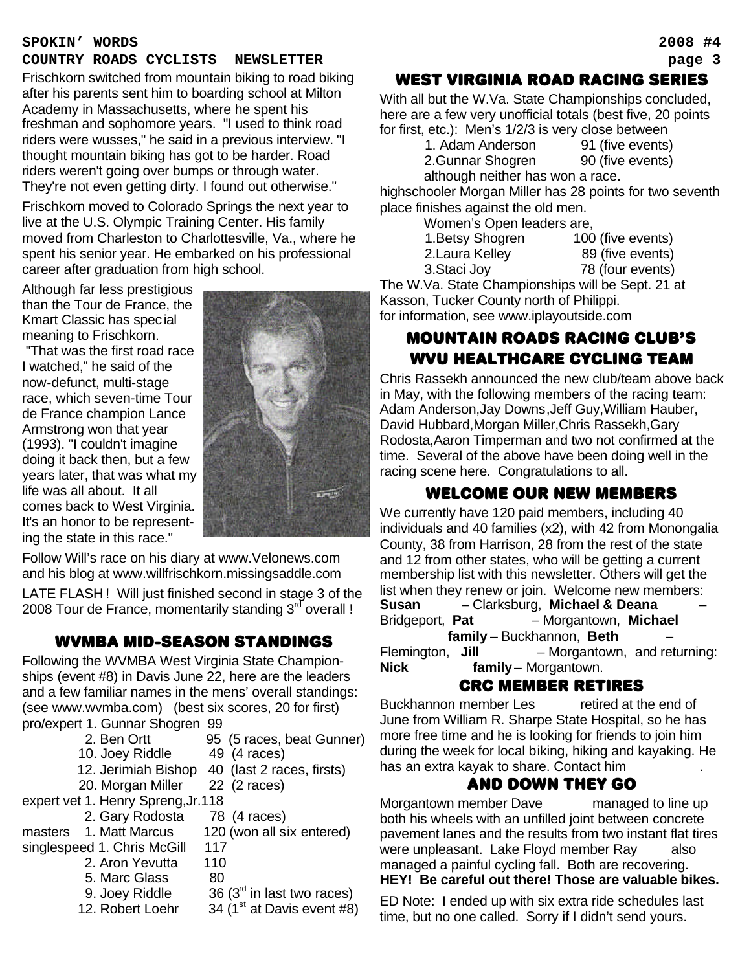#### **SPOKIN' WORDS 2008 #4**

#### **COUNTRY ROADS CYCLISTS NEWSLETTER page 3**

Frischkorn switched from mountain biking to road biking after his parents sent him to boarding school at Milton Academy in Massachusetts, where he spent his freshman and sophomore years. "I used to think road riders were wusses," he said in a previous interview. "I thought mountain biking has got to be harder. Road riders weren't going over bumps or through water. They're not even getting dirty. I found out otherwise."

Frischkorn moved to Colorado Springs the next year to live at the U.S. Olympic Training Center. His family moved from Charleston to Charlottesville, Va., where he spent his senior year. He embarked on his professional career after graduation from high school.

Although far less prestigious than the Tour de France, the Kmart Classic has special meaning to Frischkorn.

 "That was the first road race I watched," he said of the now-defunct, multi-stage race, which seven-time Tour de France champion Lance Armstrong won that year (1993). "I couldn't imagine doing it back then, but a few years later, that was what my life was all about. It all comes back to West Virginia. It's an honor to be representing the state in this race."



Follow Will's race on his diary at www.Velonews.com and his blog at www.willfrischkorn.missingsaddle.com

LATE FLASH ! Will just finished second in stage 3 of the 2008 Tour de France, momentarily standing  $3^{rd}$  overall !

#### WVMBA mid-season standings

Following the WVMBA West Virginia State Championships (event #8) in Davis June 22, here are the leaders and a few familiar names in the mens' overall standings: (see www.wvmba.com) (best six scores, 20 for first) pro/expert 1. Gunnar Shogren 99

- 2. Ben Ortt 95 (5 races, beat Gunner)
- 10. Joey Riddle 49 (4 races)
	-
- 12. Jerimiah Bishop 40 (last 2 races, firsts)
- 20. Morgan Miller 22 (2 races)

expert vet 1. Henry Spreng,Jr.118

2. Gary Rodosta 78 (4 races)

masters 1. Matt Marcus 120 (won all six entered) singlespeed 1. Chris McGill 117

- 
- 2. Aron Yevutta 110
- 5. Marc Glass 80
	-
- 
- 9. Joey Riddle  $36 (3<sup>rd</sup>$  in last two races)
- 12. Robert Loehr  $34 (1<sup>st</sup> at Davis event #8)$

#### WEST VIRGINIA ROAD RACING SERIES

With all but the W.Va. State Championships concluded, here are a few very unofficial totals (best five, 20 points for first, etc.): Men's 1/2/3 is very close between

| 1. Adam Anderson                 | 91 (five events) |
|----------------------------------|------------------|
| 2.Gunnar Shogren                 | 90 (five events) |
| although neither has won a race. |                  |

highschooler Morgan Miller has 28 points for two seventh place finishes against the old men.

Women's Open leaders are,

| 1. Betsy Shogren | 100 (five events) |
|------------------|-------------------|
| 2. Laura Kelley  | 89 (five events)  |
| 3. Staci Joy     | 78 (four events)  |

The W.Va. State Championships will be Sept. 21 at Kasson, Tucker County north of Philippi. for information, see www.iplayoutside.com

### MOUNTAIN ROADS RACING CLUB'S WVU HEALTHCARE CYCLING TEAM

Chris Rassekh announced the new club/team above back in May, with the following members of the racing team: Adam Anderson,Jay Downs,Jeff Guy,William Hauber, David Hubbard,Morgan Miller,Chris Rassekh,Gary Rodosta,Aaron Timperman and two not confirmed at the time. Several of the above have been doing well in the racing scene here. Congratulations to all.

#### WELCOME OUR NEW MEMBERS

We currently have 120 paid members, including 40 individuals and 40 families (x2), with 42 from Monongalia County, 38 from Harrison, 28 from the rest of the state and 12 from other states, who will be getting a current membership list with this newsletter. Others will get the list when they renew or join. Welcome new members: **Susan – Clarksburg, Michael & Deana** Bridgeport, Pat – Morgantown, Michael family – Buckhannon, **Beth** Flemington, **Jill** - Morgantown, and returning: **Nick** family– Morgantown.

#### CRC MEMBER RETIRES

Buckhannon member Les retired at the end of June from William R. Sharpe State Hospital, so he has more free time and he is looking for friends to join him during the week for local biking, hiking and kayaking. He has an extra kayak to share. Contact him

#### anD down THEY GO

Morgantown member Dave managed to line up both his wheels with an unfilled joint between concrete pavement lanes and the results from two instant flat tires were unpleasant. Lake Floyd member Ray also managed a painful cycling fall. Both are recovering. **HEY! Be careful out there! Those are valuable bikes.**

ED Note: I ended up with six extra ride schedules last time, but no one called. Sorry if I didn't send yours.